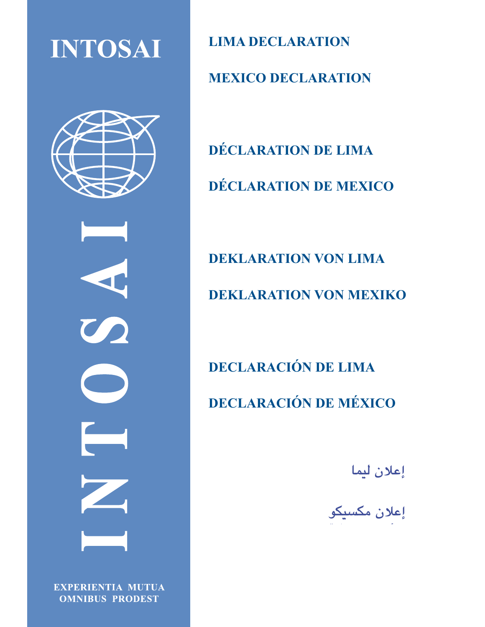**INTOSAI** 



 $\boldsymbol{C}$ 

**EXPERIENTIA MUTUA OMNIBUS PRODEST** 

**LIMA DECLARATION MEXICO DECLARATION** 

**DÉCLARATION DE LIMA DÉCLARATION DE MEXICO**

**DEKLARATION VON LIMA DEKLARATION VON MEXIKO**

**DECLARACIÓN DE LIMA DECLARACIÓN DE MÉXICO** 

إعلان ليما

إعلان م**کسیکو**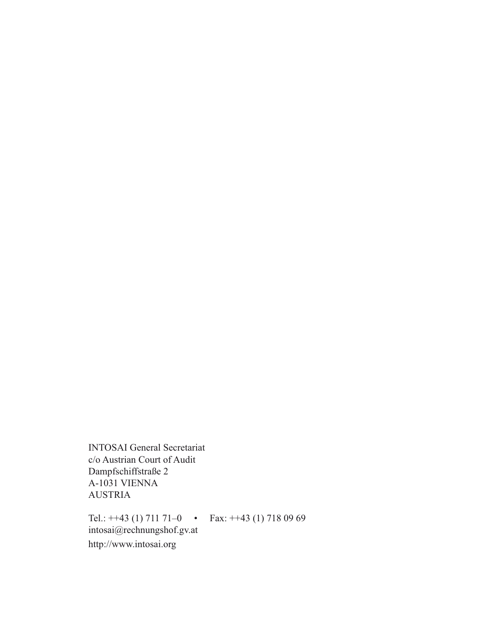INTOSAI General Secretariat c/o Austrian Court of Audit Dampfschiffstraße 2 A-1031 VIENNA AUSTRIA

Tel.:  $++43$  (1) 711 71-0 • Fax:  $++43$  (1) 718 09 69 intosai@rechnungshof.gv.at http://www.intosai.org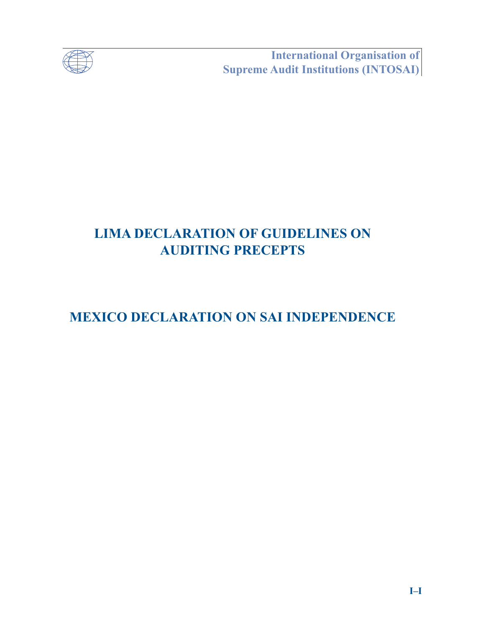

**Example 15 International Organisation of<br>Supreme Audit Institutions (INTOSAI)** 

# **LIMA DECLARATION OF GUIDELINES ON AUDITING PRECEPTS**

# **MEXICO DECLARATION ON SAI INDEPENDENCE**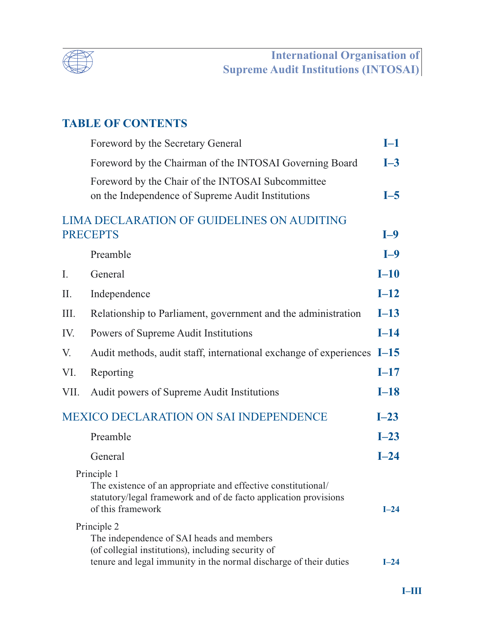

## **TABLE OF CONTENTS**

|                                                               | Foreword by the Secretary General                                                                                                                                                   | $I-1$  |
|---------------------------------------------------------------|-------------------------------------------------------------------------------------------------------------------------------------------------------------------------------------|--------|
|                                                               | Foreword by the Chairman of the INTOSAI Governing Board                                                                                                                             | $I-3$  |
|                                                               | Foreword by the Chair of the INTOSAI Subcommittee<br>on the Independence of Supreme Audit Institutions                                                                              | $I-5$  |
| LIMA DECLARATION OF GUIDELINES ON AUDITING<br><b>PRECEPTS</b> |                                                                                                                                                                                     | $I-9$  |
|                                                               | Preamble                                                                                                                                                                            | $I-9$  |
| I.                                                            | General                                                                                                                                                                             | $I-10$ |
| Π.                                                            | Independence                                                                                                                                                                        | $I-12$ |
| III.                                                          | Relationship to Parliament, government and the administration                                                                                                                       | $I-13$ |
| IV.                                                           | Powers of Supreme Audit Institutions                                                                                                                                                | $I-14$ |
| V.                                                            | Audit methods, audit staff, international exchange of experiences $I-15$                                                                                                            |        |
| VI.                                                           | Reporting                                                                                                                                                                           | $I-17$ |
| VII.                                                          | Audit powers of Supreme Audit Institutions                                                                                                                                          | $I-18$ |
|                                                               | <b>MEXICO DECLARATION ON SAI INDEPENDENCE</b>                                                                                                                                       | $I-23$ |
|                                                               | Preamble                                                                                                                                                                            | $I-23$ |
|                                                               | General                                                                                                                                                                             | $I-24$ |
|                                                               | Principle 1<br>The existence of an appropriate and effective constitutional/<br>statutory/legal framework and of de facto application provisions<br>of this framework               | $I-24$ |
|                                                               | Principle 2<br>The independence of SAI heads and members<br>(of collegial institutions), including security of<br>tenure and legal immunity in the normal discharge of their duties | $I-24$ |
|                                                               |                                                                                                                                                                                     |        |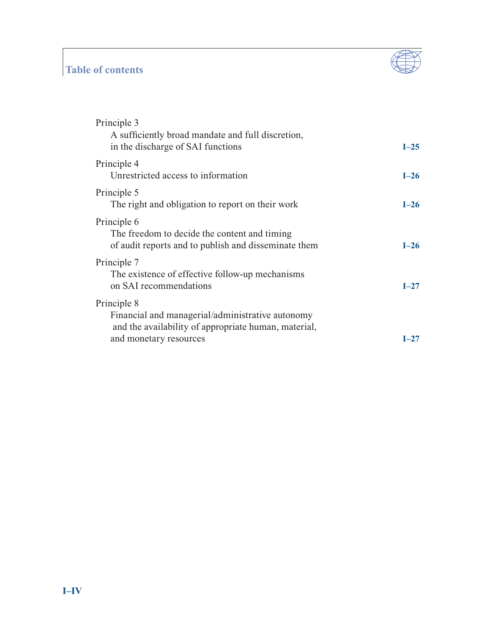## **Table of contents**



| Principle 3<br>A sufficiently broad mandate and full discretion,<br>in the discharge of SAI functions                                             | $I-25$ |
|---------------------------------------------------------------------------------------------------------------------------------------------------|--------|
| Principle 4<br>Unrestricted access to information                                                                                                 | $L-26$ |
| Principle 5<br>The right and obligation to report on their work                                                                                   | $I-26$ |
| Principle 6<br>The freedom to decide the content and timing<br>of audit reports and to publish and disseminate them                               | $L-26$ |
| Principle 7<br>The existence of effective follow-up mechanisms<br>on SAI recommendations                                                          | $I-27$ |
| Principle 8<br>Financial and managerial/administrative autonomy<br>and the availability of appropriate human, material,<br>and monetary resources | L27    |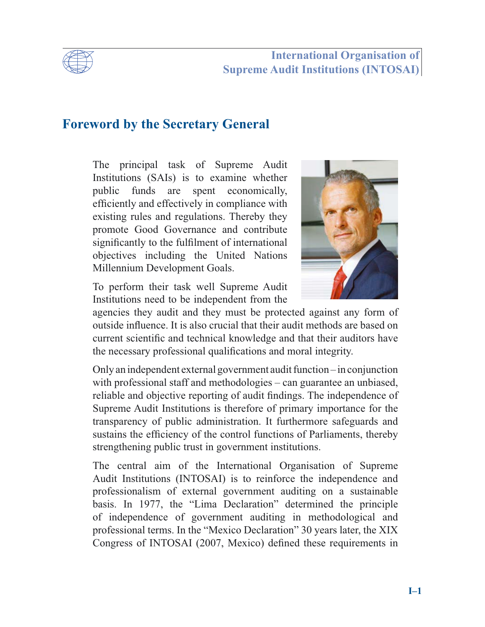

## **International Organisation of Supreme Audit Institutions (INTOSAI)**

## **Foreword by the Secretary General**

The principal task of Supreme Audit Institutions (SAIs) is to examine whether public funds are spent economically, efficiently and effectively in compliance with existing rules and regulations. Thereby they promote Good Governance and contribute significantly to the fulfilment of international objectives including the United Nations Millennium Development Goals.



To perform their task well Supreme Audit Institutions need to be independent from the

agencies they audit and they must be protected against any form of outside influence. It is also crucial that their audit methods are based on current scientific and technical knowledge and that their auditors have the necessary professional qualifications and moral integrity.

Only an independent external government audit function – in conjunction with professional staff and methodologies – can guarantee an unbiased, reliable and objective reporting of audit findings. The independence of Supreme Audit Institutions is therefore of primary importance for the transparency of public administration. It furthermore safeguards and sustains the efficiency of the control functions of Parliaments, thereby strengthening public trust in government institutions.

The central aim of the International Organisation of Supreme Audit Institutions (INTOSAI) is to reinforce the independence and professionalism of external government auditing on a sustainable basis. In 1977, the "Lima Declaration" determined the principle of independence of government auditing in methodological and professional terms. In the "Mexico Declaration" 30 years later, the XIX Congress of INTOSAI (2007, Mexico) defined these requirements in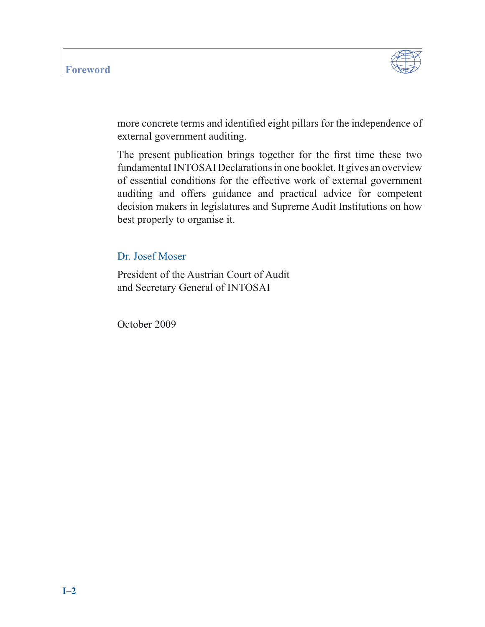#### **Foreword**



more concrete terms and identified eight pillars for the independence of external government auditing.

The present publication brings together for the first time these two fundamentaI INTOSAI Declarations in one booklet. It gives an overview of essential conditions for the effective work of external government auditing and offers guidance and practical advice for competent decision makers in legislatures and Supreme Audit Institutions on how best properly to organise it.

Dr. Josef Moser

President of the Austrian Court of Audit and Secretary General of INTOSAI

October 2009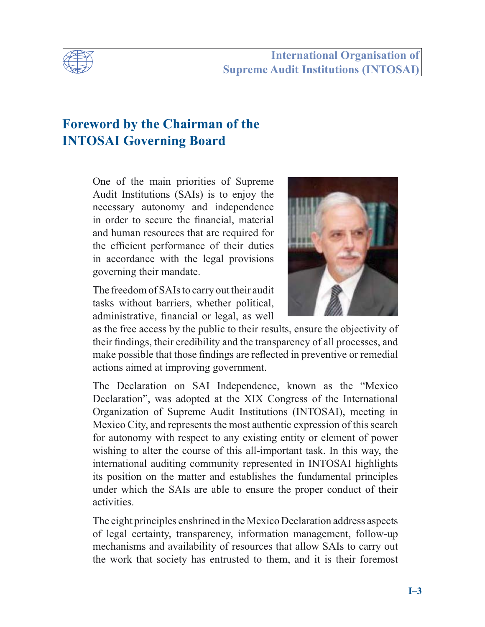

**International Organisation of Supreme Audit Institutions (INTOSAI)**

## **Foreword by the Chairman of the INTOSAI Governing Board**

One of the main priorities of Supreme Audit Institutions (SAIs) is to enjoy the necessary autonomy and independence in order to secure the financial, material and human resources that are required for the efficient performance of their duties in accordance with the legal provisions governing their mandate.

The freedom of SAIs to carry out their audit tasks without barriers, whether political, administrative, financial or legal, as well



as the free access by the public to their results, ensure the objectivity of their findings, their credibility and the transparency of all processes, and make possible that those findings are reflected in preventive or remedial actions aimed at improving government.

The Declaration on SAI Independence, known as the "Mexico Declaration", was adopted at the XIX Congress of the International Organization of Supreme Audit Institutions (INTOSAI), meeting in Mexico City, and represents the most authentic expression of this search for autonomy with respect to any existing entity or element of power wishing to alter the course of this all-important task. In this way, the international auditing community represented in INTOSAI highlights its position on the matter and establishes the fundamental principles under which the SAIs are able to ensure the proper conduct of their activities.

The eight principles enshrined in the Mexico Declaration address aspects of legal certainty, transparency, information management, follow-up mechanisms and availability of resources that allow SAIs to carry out the work that society has entrusted to them, and it is their foremost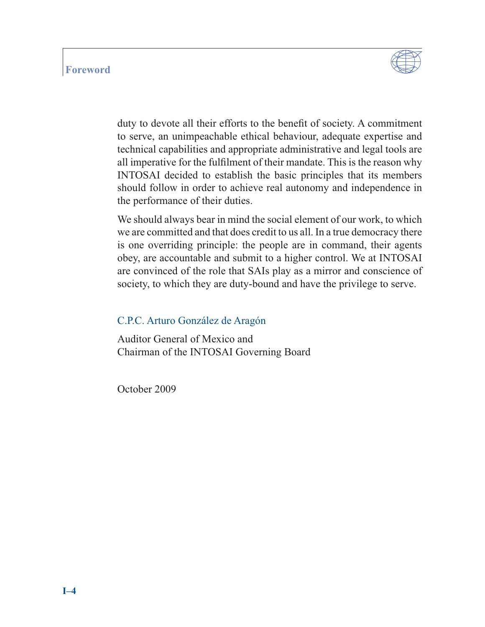#### **Foreword**



duty to devote all their efforts to the benefit of society. A commitment to serve, an unimpeachable ethical behaviour, adequate expertise and technical capabilities and appropriate administrative and legal tools are all imperative for the fulfilment of their mandate. This is the reason why INTOSAI decided to establish the basic principles that its members should follow in order to achieve real autonomy and independence in the performance of their duties.

We should always bear in mind the social element of our work, to which we are committed and that does credit to us all. In a true democracy there is one overriding principle: the people are in command, their agents obey, are accountable and submit to a higher control. We at INTOSAI are convinced of the role that SAIs play as a mirror and conscience of society, to which they are duty-bound and have the privilege to serve.

#### C.P.C. Arturo González de Aragón

Auditor General of Mexico and Chairman of the INTOSAI Governing Board

October 2009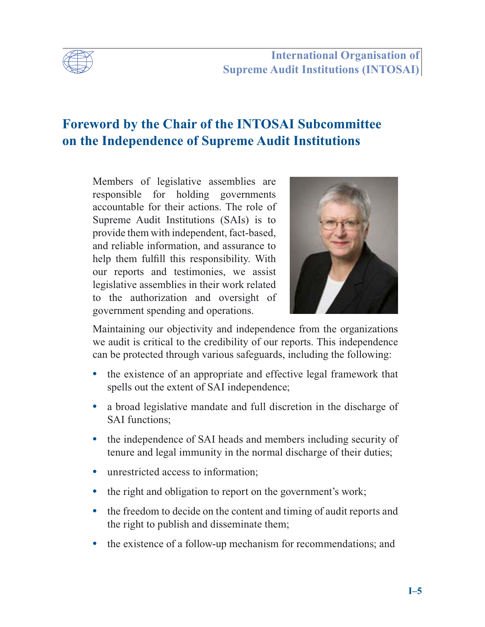

## **Foreword by the Chair of the INTOSAI Subcommittee on the Independence of Supreme Audit Institutions**

Members of legislative assemblies are responsible for holding governments accountable for their actions. The role of Supreme Audit Institutions (SAIs) is to provide them with independent, fact-based, and reliable information, and assurance to help them fulfill this responsibility. With our reports and testimonies, we assist legislative assemblies in their work related to the authorization and oversight of government spending and operations.



Maintaining our objectivity and independence from the organizations we audit is critical to the credibility of our reports. This independence can be protected through various safeguards, including the following:

- **•** the existence of an appropriate and effective legal framework that spells out the extent of SAI independence;
- **•** a broad legislative mandate and full discretion in the discharge of SAI functions;
- the independence of SAI heads and members including security of tenure and legal immunity in the normal discharge of their duties;
- **•** unrestricted access to information;
- the right and obligation to report on the government's work;
- the freedom to decide on the content and timing of audit reports and the right to publish and disseminate them;
- the existence of a follow-up mechanism for recommendations; and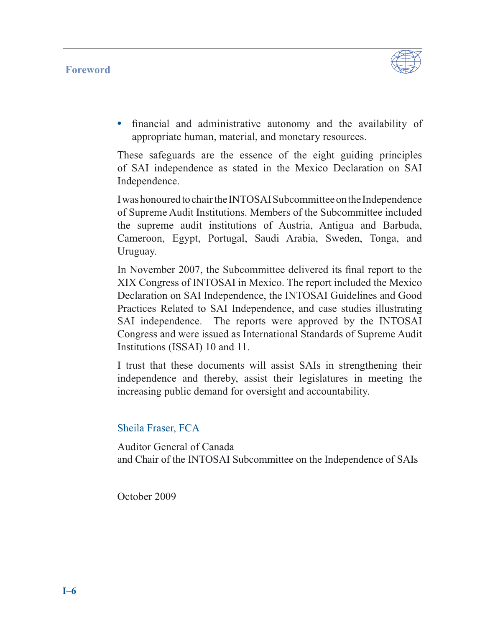

• financial and administrative autonomy and the availability of appropriate human, material, and monetary resources.

These safeguards are the essence of the eight guiding principles of SAI independence as stated in the Mexico Declaration on SAI Independence.

I was honoured to chair the INTOSAI Subcommittee on the Independence of Supreme Audit Institutions. Members of the Subcommittee included the supreme audit institutions of Austria, Antigua and Barbuda, Cameroon, Egypt, Portugal, Saudi Arabia, Sweden, Tonga, and Uruguay.

In November 2007, the Subcommittee delivered its final report to the XIX Congress of INTOSAI in Mexico. The report included the Mexico Declaration on SAI Independence, the INTOSAI Guidelines and Good Practices Related to SAI Independence, and case studies illustrating SAI independence. The reports were approved by the INTOSAI Congress and were issued as International Standards of Supreme Audit Institutions (ISSAI) 10 and 11.

I trust that these documents will assist SAIs in strengthening their independence and thereby, assist their legislatures in meeting the increasing public demand for oversight and accountability.

## Sheila Fraser, FCA

Auditor General of Canada and Chair of the INTOSAI Subcommittee on the Independence of SAIs

October 2009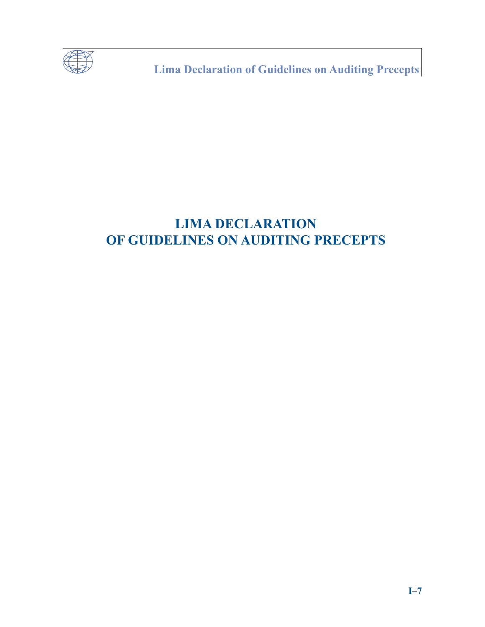

**Lima Declaration of Guidelines on Auditing Precepts** 

# **LIMA DECLARATION** OF GUIDELINES ON AUDITING PRECEPTS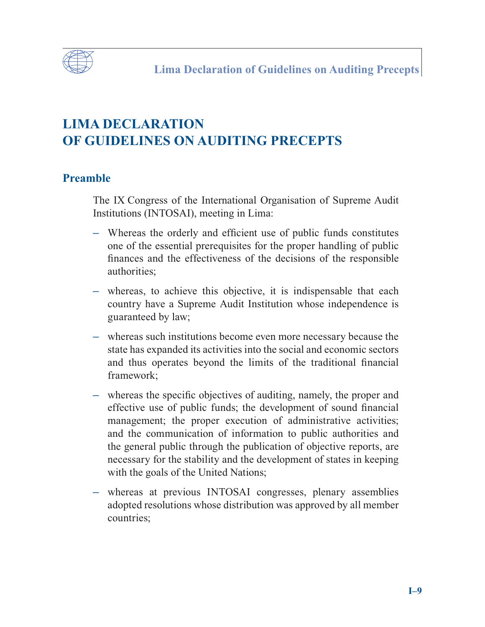

# **LIMA DECLARATION OF GUIDELINES ON AUDITING PRECEPTS**

## **Preamble**

The IX Congress of the International Organisation of Supreme Audit Institutions (INTOSAI), meeting in Lima:

- Whereas the orderly and efficient use of public funds constitutes one of the essential prerequisites for the proper handling of public finances and the effectiveness of the decisions of the responsible authorities;
- **–** whereas, to achieve this objective, it is indispensable that each country have a Supreme Audit Institution whose independence is guaranteed by law;
- **–** whereas such institutions become even more necessary because the state has expanded its activities into the social and economic sectors and thus operates beyond the limits of the traditional financial framework;
- whereas the specific objectives of auditing, namely, the proper and effective use of public funds; the development of sound financial management; the proper execution of administrative activities; and the communication of information to public authorities and the general public through the publication of objective reports, are necessary for the stability and the development of states in keeping with the goals of the United Nations;
- **–** whereas at previous INTOSAI congresses, plenary assemblies adopted resolutions whose distribution was approved by all member countries;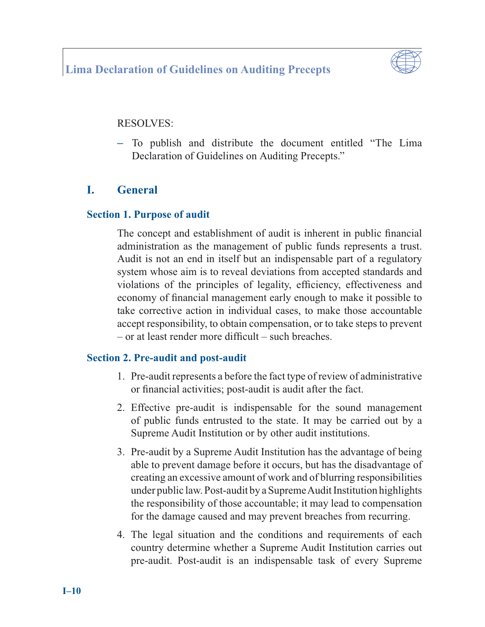## **Lima Declaration of Guidelines on Auditing Precepts**



#### RESOLVES:

**–** To publish and distribute the document entitled "The Lima Declaration of Guidelines on Auditing Precepts."

## **I. General**

#### **Section 1. Purpose of audit**

The concept and establishment of audit is inherent in public financial administration as the management of public funds represents a trust. Audit is not an end in itself but an indispensable part of a regulatory system whose aim is to reveal deviations from accepted standards and violations of the principles of legality, efficiency, effectiveness and economy of financial management early enough to make it possible to take corrective action in individual cases, to make those accountable accept responsibility, to obtain compensation, or to take steps to prevent  $-$  or at least render more difficult – such breaches.

#### **Section 2. Pre-audit and post-audit**

- 1. Pre-audit represents a before the fact type of review of administrative or financial activities; post-audit is audit after the fact.
- 2. Effective pre-audit is indispensable for the sound management of public funds entrusted to the state. It may be carried out by a Supreme Audit Institution or by other audit institutions.
- 3. Pre-audit by a Supreme Audit Institution has the advantage of being able to prevent damage before it occurs, but has the disadvantage of creating an excessive amount of work and of blurring responsibilities under public law. Post-audit by a Supreme Audit Institution highlights the responsibility of those accountable; it may lead to compensation for the damage caused and may prevent breaches from recurring.
- 4. The legal situation and the conditions and requirements of each country determine whether a Supreme Audit Institution carries out pre-audit. Post-audit is an indispensable task of every Supreme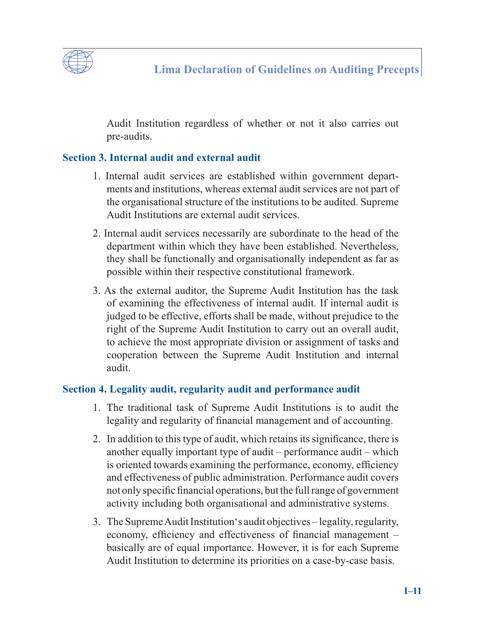

Audit Institution regardless of whether or not it also carries out pre-audits.

## **Section 3. Internal audit and external audit**

- 1. Internal audit services are established within government departments and institutions, whereas external audit services are not part of the organisational structure of the institutions to be audited. Supreme Audit Institutions are external audit services.
- 2. Internal audit services necessarily are subordinate to the head of the department within which they have been established. Nevertheless, they shall be functionally and organisationally independent as far as possible within their respective constitutional framework.
- 3. As the external auditor, the Supreme Audit Institution has the task of examining the effectiveness of internal audit. If internal audit is judged to be effective, efforts shall be made, without prejudice to the right of the Supreme Audit Institution to carry out an overall audit, to achieve the most appropriate division or assignment of tasks and cooperation between the Supreme Audit Institution and internal audit.

## **Section 4. Legality audit, regularity audit and performance audit**

- 1. The traditional task of Supreme Audit Institutions is to audit the legality and regularity of financial management and of accounting.
- 2. In addition to this type of audit, which retains its significance, there is another equally important type of audit – performance audit – which is oriented towards examining the performance, economy, efficiency and effectiveness of public administration. Performance audit covers not only specific financial operations, but the full range of government activity including both organisational and administrative systems.
- 3. The Supreme Audit Institution's audit objectives legality, regularity, economy, efficiency and effectiveness of financial management – basically are of equal importance. However, it is for each Supreme Audit Institution to determine its priorities on a case-by-case basis.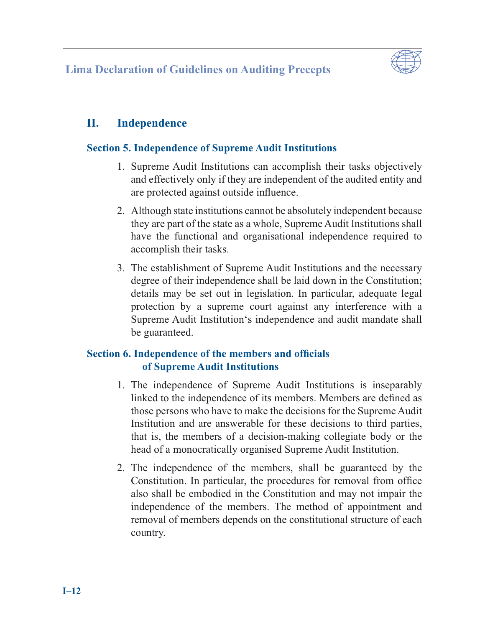

## **II. Independence**

## **Section 5. Independence of Supreme Audit Institutions**

- 1. Supreme Audit Institutions can accomplish their tasks objectively and effectively only if they are independent of the audited entity and are protected against outside influence.
- 2. Although state institutions cannot be absolutely independent because they are part of the state as a whole, Supreme Audit Institutions shall have the functional and organisational independence required to accomplish their tasks.
- 3. The establishment of Supreme Audit Institutions and the necessary degree of their independence shall be laid down in the Constitution; details may be set out in legislation. In particular, adequate legal protection by a supreme court against any interference with a Supreme Audit Institution's independence and audit mandate shall be guaranteed.

## **Section 6. Independence of the members and officials of Supreme Audit Institutions**

- 1. The independence of Supreme Audit Institutions is inseparably linked to the independence of its members. Members are defined as those persons who have to make the decisions for the Supreme Audit Institution and are answerable for these decisions to third parties, that is, the members of a decision-making collegiate body or the head of a monocratically organised Supreme Audit Institution.
- 2. The independence of the members, shall be guaranteed by the Constitution. In particular, the procedures for removal from office also shall be embodied in the Constitution and may not impair the independence of the members. The method of appointment and removal of members depends on the constitutional structure of each country.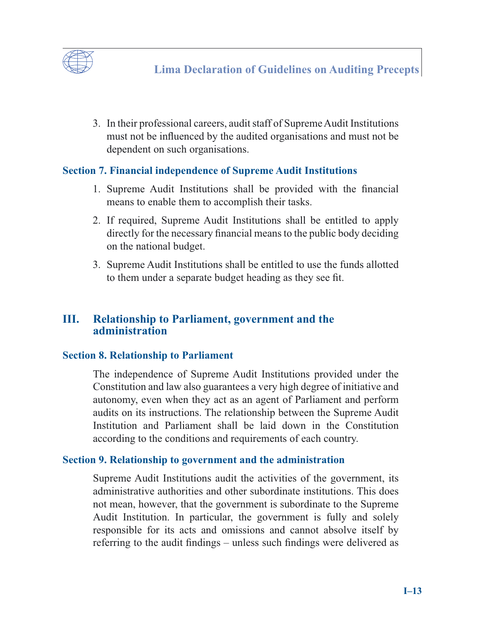

3. In their professional careers, audit staff of Supreme Audit Institutions must not be influenced by the audited organisations and must not be dependent on such organisations.

## **Section 7. Financial independence of Supreme Audit Institutions**

- 1. Supreme Audit Institutions shall be provided with the financial means to enable them to accomplish their tasks.
- 2. If required, Supreme Audit Institutions shall be entitled to apply directly for the necessary financial means to the public body deciding on the national budget.
- 3. Supreme Audit Institutions shall be entitled to use the funds allotted to them under a separate budget heading as they see fit.

## **III. Relationship to Parliament, government and the administration**

#### **Section 8. Relationship to Parliament**

The independence of Supreme Audit Institutions provided under the Constitution and law also guarantees a very high degree of initiative and autonomy, even when they act as an agent of Parliament and perform audits on its instructions. The relationship between the Supreme Audit Institution and Parliament shall be laid down in the Constitution according to the conditions and requirements of each country.

#### **Section 9. Relationship to government and the administration**

Supreme Audit Institutions audit the activities of the government, its administrative authorities and other subordinate institutions. This does not mean, however, that the government is subordinate to the Supreme Audit Institution. In particular, the government is fully and solely responsible for its acts and omissions and cannot absolve itself by referring to the audit findings – unless such findings were delivered as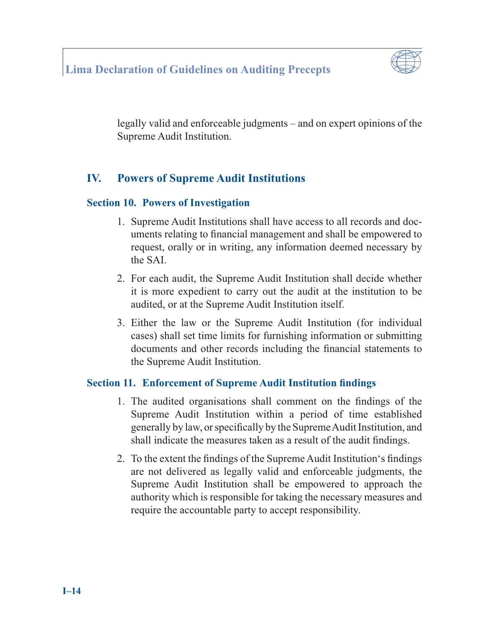## **Lima Declaration of Guidelines on Auditing Precepts**



legally valid and enforceable judgments – and on expert opinions of the Supreme Audit Institution.

## **IV. Powers of Supreme Audit Institutions**

#### **Section 10. Powers of Investigation**

- 1. Supreme Audit Institutions shall have access to all records and documents relating to financial management and shall be empowered to request, orally or in writing, any information deemed necessary by the SAI.
- 2. For each audit, the Supreme Audit Institution shall decide whether it is more expedient to carry out the audit at the institution to be audited, or at the Supreme Audit Institution itself.
- 3. Either the law or the Supreme Audit Institution (for individual cases) shall set time limits for furnishing information or submitting documents and other records including the financial statements to the Supreme Audit Institution.

#### **Section 11. Enforcement of Supreme Audit Institution findings**

- 1. The audited organisations shall comment on the findings of the Supreme Audit Institution within a period of time established generally by law, or specifically by the Supreme Audit Institution, and shall indicate the measures taken as a result of the audit findings.
- 2. To the extent the findings of the Supreme Audit Institution's findings are not delivered as legally valid and enforceable judgments, the Supreme Audit Institution shall be empowered to approach the authority which is responsible for taking the necessary measures and require the accountable party to accept responsibility.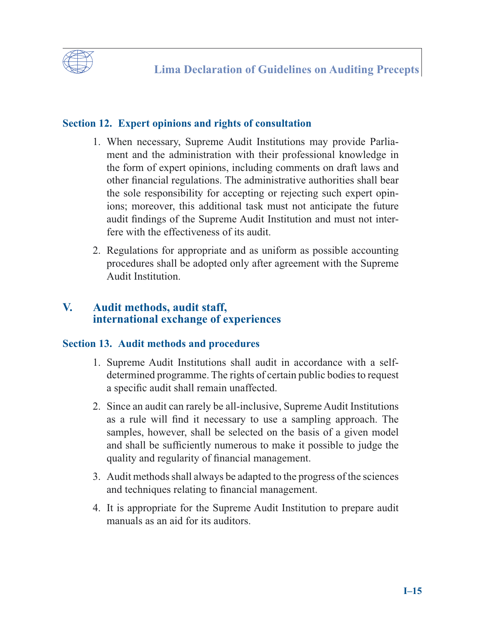

## **Section 12. Expert opinions and rights of consultation**

- 1. When necessary, Supreme Audit Institutions may provide Parliament and the administration with their professional knowledge in the form of expert opinions, including comments on draft laws and other financial regulations. The administrative authorities shall bear the sole responsibility for accepting or rejecting such expert opinions; moreover, this additional task must not anticipate the future audit findings of the Supreme Audit Institution and must not interfere with the effectiveness of its audit.
- 2. Regulations for appropriate and as uniform as possible accounting procedures shall be adopted only after agreement with the Supreme Audit Institution.

## **V. Audit methods, audit staff, international exchange of experiences**

## **Section 13. Audit methods and procedures**

- 1. Supreme Audit Institutions shall audit in accordance with a selfdetermined programme. The rights of certain public bodies to request a specific audit shall remain unaffected.
- 2. Since an audit can rarely be all-inclusive, Supreme Audit Institutions as a rule will find it necessary to use a sampling approach. The samples, however, shall be selected on the basis of a given model and shall be sufficiently numerous to make it possible to judge the quality and regularity of financial management.
- 3. Audit methods shall always be adapted to the progress of the sciences and techniques relating to financial management.
- 4. It is appropriate for the Supreme Audit Institution to prepare audit manuals as an aid for its auditors.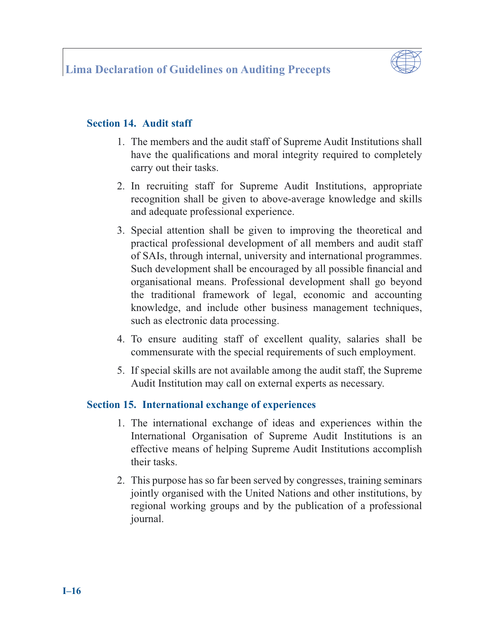

## **Section 14. Audit staff**

- 1. The members and the audit staff of Supreme Audit Institutions shall have the qualifications and moral integrity required to completely carry out their tasks.
- 2. In recruiting staff for Supreme Audit Institutions, appropriate recognition shall be given to above-average knowledge and skills and adequate professional experience.
- 3. Special attention shall be given to improving the theoretical and practical professional development of all members and audit staff of SAIs, through internal, university and international programmes. Such development shall be encouraged by all possible financial and organisational means. Professional development shall go beyond the traditional framework of legal, economic and accounting knowledge, and include other business management techniques, such as electronic data processing.
- 4. To ensure auditing staff of excellent quality, salaries shall be commensurate with the special requirements of such employment.
- 5. If special skills are not available among the audit staff, the Supreme Audit Institution may call on external experts as necessary.

## **Section 15. International exchange of experiences**

- 1. The international exchange of ideas and experiences within the International Organisation of Supreme Audit Institutions is an effective means of helping Supreme Audit Institutions accomplish their tasks.
- 2. This purpose has so far been served by congresses, training seminars jointly organised with the United Nations and other institutions, by regional working groups and by the publication of a professional journal.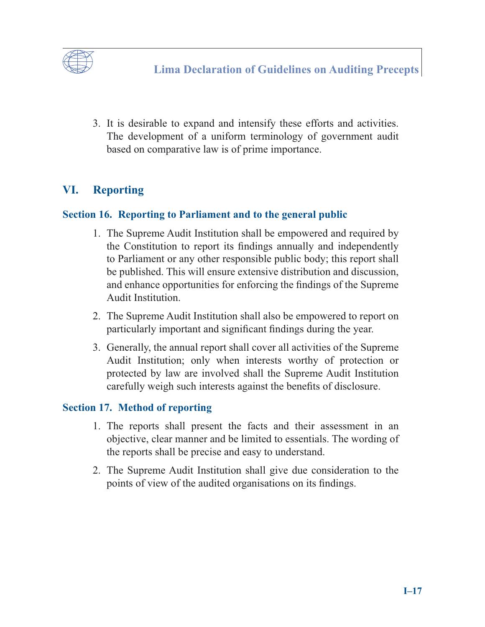

3. It is desirable to expand and intensify these efforts and activities. The development of a uniform terminology of government audit based on comparative law is of prime importance.

## **VI. Reporting**

#### **Section 16. Reporting to Parliament and to the general public**

- 1. The Supreme Audit Institution shall be empowered and required by the Constitution to report its findings annually and independently to Parliament or any other responsible public body; this report shall be published. This will ensure extensive distribution and discussion, and enhance opportunities for enforcing the findings of the Supreme Audit Institution.
- 2. The Supreme Audit Institution shall also be empowered to report on particularly important and significant findings during the year.
- 3. Generally, the annual report shall cover all activities of the Supreme Audit Institution; only when interests worthy of protection or protected by law are involved shall the Supreme Audit Institution carefully weigh such interests against the benefits of disclosure.

## **Section 17. Method of reporting**

- 1. The reports shall present the facts and their assessment in an objective, clear manner and be limited to essentials. The wording of the reports shall be precise and easy to understand.
- 2. The Supreme Audit Institution shall give due consideration to the points of view of the audited organisations on its findings.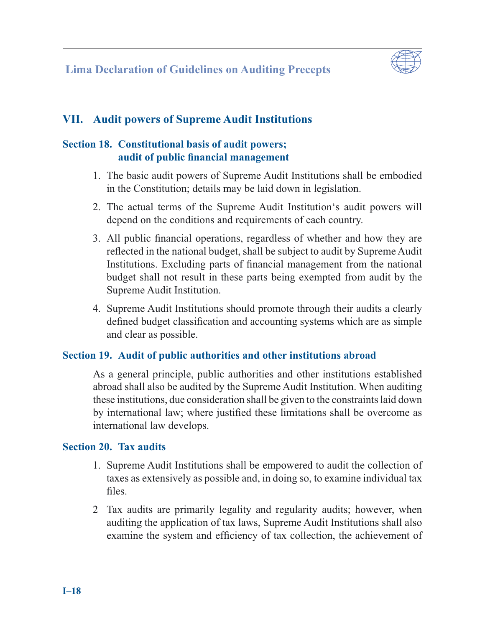

## **VII. Audit powers of Supreme Audit Institutions**

## **Section 18. Constitutional basis of audit powers; audit of public financial management**

- 1. The basic audit powers of Supreme Audit Institutions shall be embodied in the Constitution; details may be laid down in legislation.
- 2. The actual terms of the Supreme Audit Institution's audit powers will depend on the conditions and requirements of each country.
- 3. All public financial operations, regardless of whether and how they are reflected in the national budget, shall be subject to audit by Supreme Audit Institutions. Excluding parts of financial management from the national budget shall not result in these parts being exempted from audit by the Supreme Audit Institution.
- 4. Supreme Audit Institutions should promote through their audits a clearly defined budget classification and accounting systems which are as simple and clear as possible.

#### **Section 19. Audit of public authorities and other institutions abroad**

As a general principle, public authorities and other institutions established abroad shall also be audited by the Supreme Audit Institution. When auditing these institutions, due consideration shall be given to the constraints laid down by international law; where justified these limitations shall be overcome as international law develops.

#### **Section 20. Tax audits**

- 1. Supreme Audit Institutions shall be empowered to audit the collection of taxes as extensively as possible and, in doing so, to examine individual tax files.
- 2 Tax audits are primarily legality and regularity audits; however, when auditing the application of tax laws, Supreme Audit Institutions shall also examine the system and efficiency of tax collection, the achievement of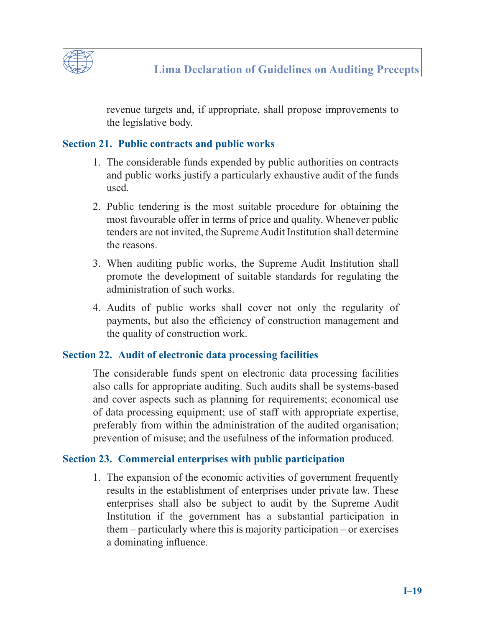

revenue targets and, if appropriate, shall propose improvements to the legislative body.

## **Section 21. Public contracts and public works**

- 1. The considerable funds expended by public authorities on contracts and public works justify a particularly exhaustive audit of the funds used.
- 2. Public tendering is the most suitable procedure for obtaining the most favourable offer in terms of price and quality. Whenever public tenders are not invited, the Supreme Audit Institution shall determine the reasons.
- 3. When auditing public works, the Supreme Audit Institution shall promote the development of suitable standards for regulating the administration of such works.
- 4. Audits of public works shall cover not only the regularity of payments, but also the efficiency of construction management and the quality of construction work.

## **Section 22. Audit of electronic data processing facilities**

The considerable funds spent on electronic data processing facilities also calls for appropriate auditing. Such audits shall be systems-based and cover aspects such as planning for requirements; economical use of data processing equipment; use of staff with appropriate expertise, preferably from within the administration of the audited organisation; prevention of misuse; and the usefulness of the information produced.

## **Section 23. Commercial enterprises with public participation**

1. The expansion of the economic activities of government frequently results in the establishment of enterprises under private law. These enterprises shall also be subject to audit by the Supreme Audit Institution if the government has a substantial participation in them – particularly where this is majority participation – or exercises a dominating influence.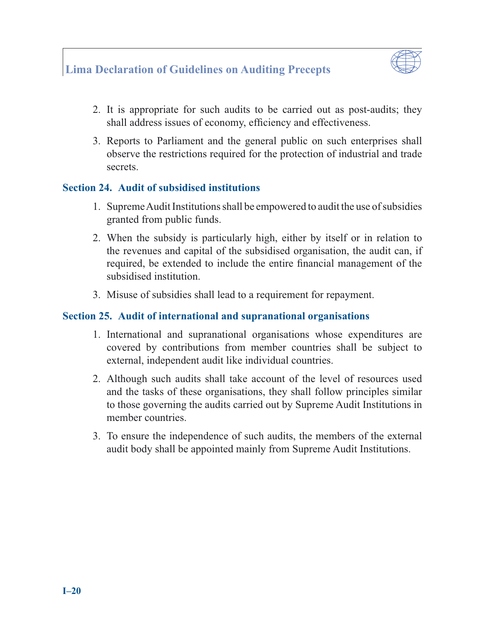## **Lima Declaration of Guidelines on Auditing Precepts**



- 2. It is appropriate for such audits to be carried out as post-audits; they shall address issues of economy, efficiency and effectiveness.
- 3. Reports to Parliament and the general public on such enterprises shall observe the restrictions required for the protection of industrial and trade secrets.

#### **Section 24. Audit of subsidised institutions**

- 1. Supreme Audit Institutions shall be empowered to audit the use of subsidies granted from public funds.
- 2. When the subsidy is particularly high, either by itself or in relation to the revenues and capital of the subsidised organisation, the audit can, if required, be extended to include the entire financial management of the subsidised institution.
- 3. Misuse of subsidies shall lead to a requirement for repayment.

#### **Section 25. Audit of international and supranational organisations**

- 1. International and supranational organisations whose expenditures are covered by contributions from member countries shall be subject to external, independent audit like individual countries.
- 2. Although such audits shall take account of the level of resources used and the tasks of these organisations, they shall follow principles similar to those governing the audits carried out by Supreme Audit Institutions in member countries.
- 3. To ensure the independence of such audits, the members of the external audit body shall be appointed mainly from Supreme Audit Institutions.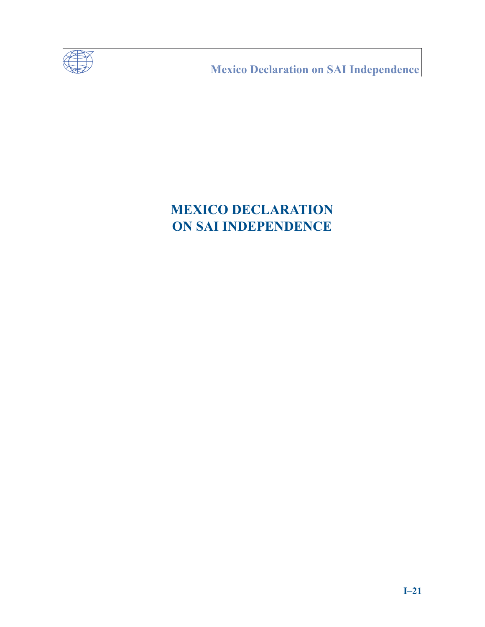

**Mexico Declaration on SAI Independence** 

# **MEXICO DECLARATION ON SAI INDEPENDENCE**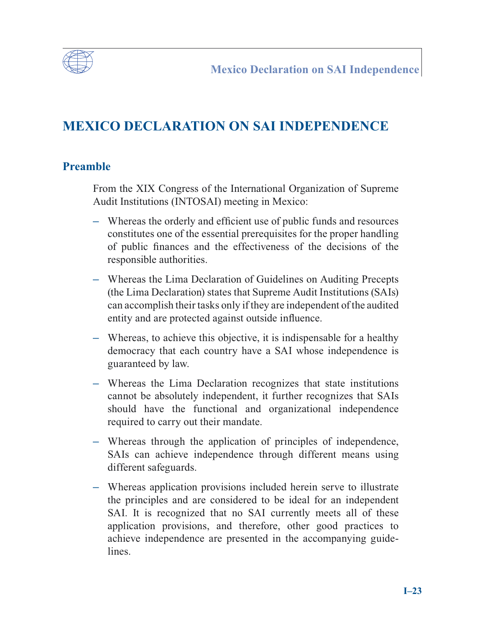

## **MEXICO DECLARATION ON SAI INDEPENDENCE**

## **Preamble**

From the XIX Congress of the International Organization of Supreme Audit Institutions (INTOSAI) meeting in Mexico:

- Whereas the orderly and efficient use of public funds and resources constitutes one of the essential prerequisites for the proper handling of public finances and the effectiveness of the decisions of the responsible authorities.
- **–** Whereas the Lima Declaration of Guidelines on Auditing Precepts (the Lima Declaration) states that Supreme Audit Institutions (SAIs) can accomplish their tasks only if they are independent of the audited entity and are protected against outside influence.
- **–** Whereas, to achieve this objective, it is indispensable for a healthy democracy that each country have a SAI whose independence is guaranteed by law.
- **–** Whereas the Lima Declaration recognizes that state institutions cannot be absolutely independent, it further recognizes that SAIs should have the functional and organizational independence required to carry out their mandate.
- **–** Whereas through the application of principles of independence, SAIs can achieve independence through different means using different safeguards.
- **–** Whereas application provisions included herein serve to illustrate the principles and are considered to be ideal for an independent SAI. It is recognized that no SAI currently meets all of these application provisions, and therefore, other good practices to achieve independence are presented in the accompanying guidelines.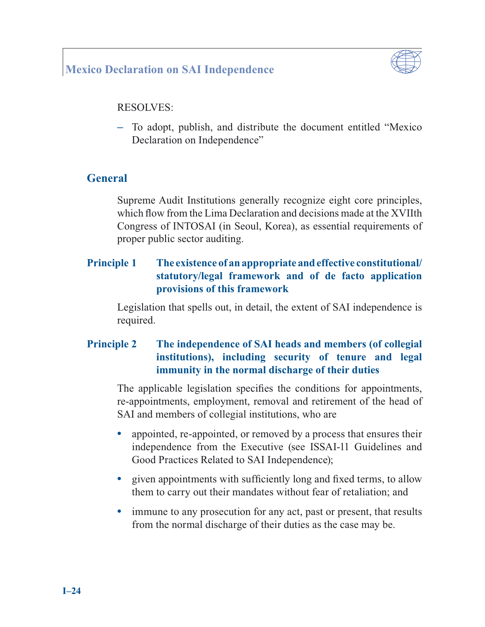## **Mexico Declaration on SAI Independence**



#### RESOLVES:

**–** To adopt, publish, and distribute the document entitled "Mexico Declaration on Independence"

## **General**

Supreme Audit Institutions generally recognize eight core principles, which flow from the Lima Declaration and decisions made at the XVIIth Congress of INTOSAI (in Seoul, Korea), as essential requirements of proper public sector auditing.

## **Principle 1 The existence of an appropriate and effective constitutional/ statutory/legal framework and of de facto application provisions of this framework**

Legislation that spells out, in detail, the extent of SAI independence is required.

## **Principle 2 The independence of SAI heads and members (of collegial institutions), including security of tenure and legal immunity in the normal discharge of their duties**

The applicable legislation specifies the conditions for appointments, re-appointments, employment, removal and retirement of the head of SAI and members of collegial institutions, who are

- appointed, re-appointed, or removed by a process that ensures their independence from the Executive (see ISSAI-11 Guidelines and Good Practices Related to SAI Independence);
- given appointments with sufficiently long and fixed terms, to allow them to carry out their mandates without fear of retaliation; and
- immune to any prosecution for any act, past or present, that results from the normal discharge of their duties as the case may be.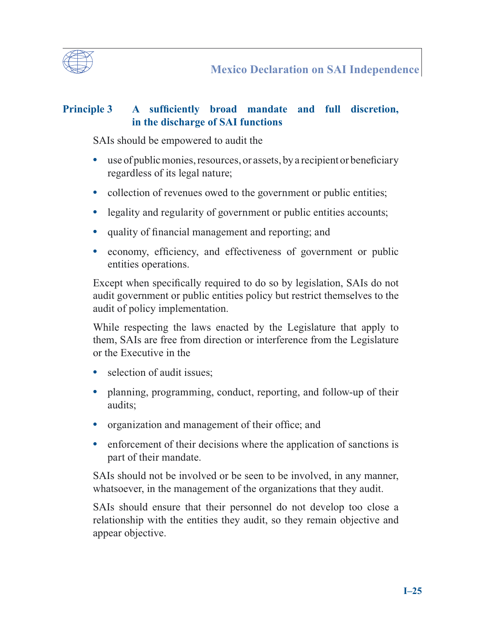

## **Principle 3** A sufficiently broad mandate and full discretion, **in the discharge of SAI functions**

SAIs should be empowered to audit the

- use of public monies, resources, or assets, by a recipient or beneficiary regardless of its legal nature;
- collection of revenues owed to the government or public entities;
- legality and regularity of government or public entities accounts;
- quality of financial management and reporting; and
- economy, efficiency, and effectiveness of government or public entities operations.

Except when specifically required to do so by legislation, SAIs do not audit government or public entities policy but restrict themselves to the audit of policy implementation.

While respecting the laws enacted by the Legislature that apply to them, SAIs are free from direction or interference from the Legislature or the Executive in the

- selection of audit issues;
- **•** planning, programming, conduct, reporting, and follow-up of their audits;
- **•** organization and management of their office; and
- enforcement of their decisions where the application of sanctions is part of their mandate.

SAIs should not be involved or be seen to be involved, in any manner, whatsoever, in the management of the organizations that they audit.

SAIs should ensure that their personnel do not develop too close a relationship with the entities they audit, so they remain objective and appear objective.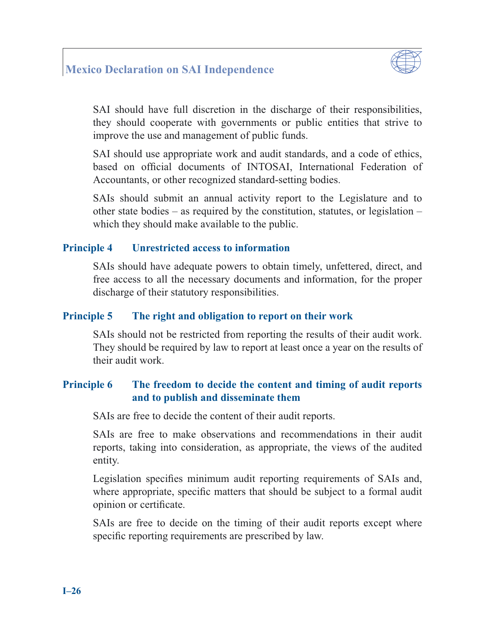## **Mexico Declaration on SAI Independence**



SAI should have full discretion in the discharge of their responsibilities, they should cooperate with governments or public entities that strive to improve the use and management of public funds.

SAI should use appropriate work and audit standards, and a code of ethics, based on official documents of INTOSAI, International Federation of Accountants, or other recognized standard-setting bodies.

SAIs should submit an annual activity report to the Legislature and to other state bodies – as required by the constitution, statutes, or legislation – which they should make available to the public.

#### **Principle 4 Unrestricted access to information**

SAIs should have adequate powers to obtain timely, unfettered, direct, and free access to all the necessary documents and information, for the proper discharge of their statutory responsibilities.

#### **Principle 5 The right and obligation to report on their work**

SAIs should not be restricted from reporting the results of their audit work. They should be required by law to report at least once a year on the results of their audit work.

## **Principle 6 The freedom to decide the content and timing of audit reports and to publish and disseminate them**

SAIs are free to decide the content of their audit reports.

SAIs are free to make observations and recommendations in their audit reports, taking into consideration, as appropriate, the views of the audited entity.

Legislation specifies minimum audit reporting requirements of SAIs and, where appropriate, specific matters that should be subject to a formal audit opinion or certificate.

SAIs are free to decide on the timing of their audit reports except where specific reporting requirements are prescribed by law.